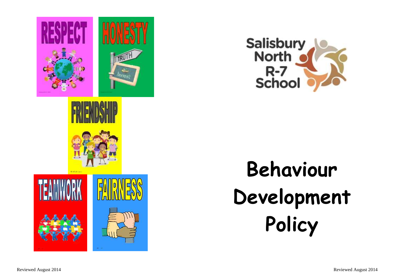





**Behaviour Development Policy**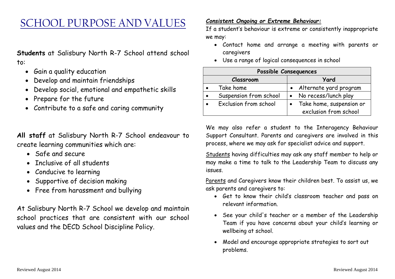# SCHOOL PURPOSE AND VALUES

**Students** at Salisbury North R-7 School attend school to:

- Gain a quality education
- Develop and maintain friendships
- Develop social, emotional and empathetic skills
- Prepare for the future
- Contribute to a safe and caring community

**All staff** at Salisbury North R-7 School endeavour to create learning communities which are:

- Safe and secure
- Inclusive of all students
- Conducive to learning
- Supportive of decision making
- Free from harassment and bullying

At Salisbury North R-7 School we develop and maintain school practices that are consistent with our school values and the DECD School Discipline Policy.

#### *Consistent Ongoing or Extreme Behaviour:*

If a student's behaviour is extreme or consistently inappropriate we may:

- Contact home and arrange a meeting with parents or caregivers
- Use a range of logical consequences in school

| Possible Consequences |                        |      |                                                   |
|-----------------------|------------------------|------|---------------------------------------------------|
| Classroom             |                        | Yard |                                                   |
|                       | Take home              |      | Alternate yard program                            |
|                       | Suspension from school |      | No recess/lunch play                              |
|                       | Exclusion from school  |      | Take home, suspension or<br>exclusion from school |

We may also refer a student to the Interagency Behaviour Support Consultant. Parents and caregivers are involved in this process, where we may ask for specialist advice and support.

Students having difficulties may ask any staff member to help or may make a time to talk to the Leadership Team to discuss any issues.

Parents and Caregivers know their children best. To assist us, we ask parents and caregivers to:

- Get to know their child's classroom teacher and pass on relevant information.
- See your child's teacher or a member of the Leadership Team if you have concerns about your child's learning or wellbeing at school.
- Model and encourage appropriate strategies to sort out problems.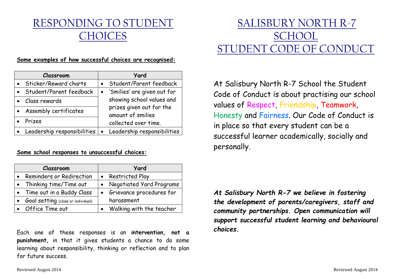# RESPONDING TO STUDENT CHOICES

#### **Some examples of how successful choices are recognised:**

| Classroom                              | <b>Yard</b>                                   |
|----------------------------------------|-----------------------------------------------|
| Sticker/Reward charts                  | • Student/Parent feedback                     |
| Student/Parent feedback                | • 'Smilies' are given out for                 |
| Class rewards<br>Assembly certificates | showing school values and                     |
|                                        | prizes given out for the<br>amount of smilies |
| Prizes                                 | collected over time.                          |
| Leadership responsibilities            | Leadership responsibilities<br>╹●             |

#### **Some school responses to unsuccessful choices:**

| Classroom                          | <b>Yard</b>                |
|------------------------------------|----------------------------|
| Reminders or Redirection           | • Restricted Play          |
| Thinking time/Time out             | • Negotiated Yard Programs |
| • Time out in a Buddy Class        | • Grievance procedures for |
| Goal setting (class or individual) | harassment                 |
| • Office Time out                  | Walking with the teacher   |

Each one of these responses is an **intervention, not a punishment,** in that it gives students a chance to do some learning about responsibility, thinking or reflection and to plan for future success.

# SALISBURY NORTH R-7 **SCHOOL** STUDENT CODE OF CONDUCT

At Salisbury North R-7 School the Student Code of Conduct is about practising our school values of Respect, Friendship, Teamwork, Honesty and Fairness. Our Code of Conduct is in place so that every student can be a successful learner academically, socially and personally.

*At Salisbury North R-7 we believe in fostering the development of parents/caregivers, staff and community partnerships. Open communication will support successful student learning and behavioural choices.*